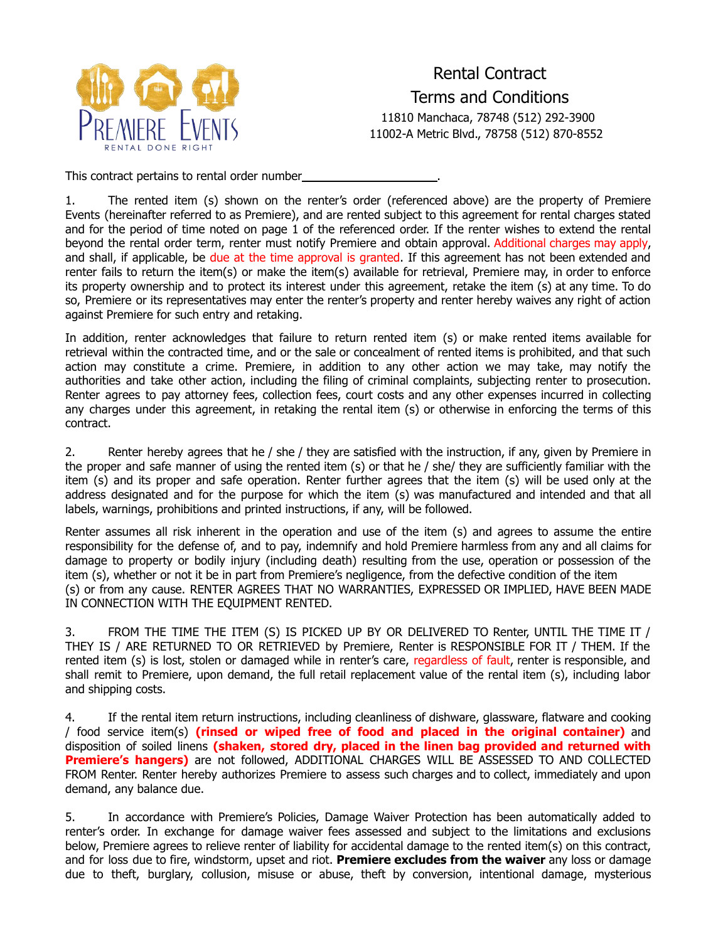

Rental Contract Terms and Conditions 11810 Manchaca, 78748 (512) 292-3900 11002-A Metric Blvd., 78758 (512) 870-8552

This contract pertains to rental order number

1. The rented item (s) shown on the renter's order (referenced above) are the property of Premiere Events (hereinafter referred to as Premiere), and are rented subject to this agreement for rental charges stated and for the period of time noted on page 1 of the referenced order. If the renter wishes to extend the rental beyond the rental order term, renter must notify Premiere and obtain approval. Additional charges may apply, and shall, if applicable, be due at the time approval is granted. If this agreement has not been extended and renter fails to return the item(s) or make the item(s) available for retrieval, Premiere may, in order to enforce its property ownership and to protect its interest under this agreement, retake the item (s) at any time. To do so, Premiere or its representatives may enter the renter's property and renter hereby waives any right of action against Premiere for such entry and retaking.

In addition, renter acknowledges that failure to return rented item (s) or make rented items available for retrieval within the contracted time, and or the sale or concealment of rented items is prohibited, and that such action may constitute a crime. Premiere, in addition to any other action we may take, may notify the authorities and take other action, including the filing of criminal complaints, subjecting renter to prosecution. Renter agrees to pay attorney fees, collection fees, court costs and any other expenses incurred in collecting any charges under this agreement, in retaking the rental item (s) or otherwise in enforcing the terms of this contract.

2. Renter hereby agrees that he / she / they are satisfied with the instruction, if any, given by Premiere in the proper and safe manner of using the rented item (s) or that he / she/ they are sufficiently familiar with the item (s) and its proper and safe operation. Renter further agrees that the item (s) will be used only at the address designated and for the purpose for which the item (s) was manufactured and intended and that all labels, warnings, prohibitions and printed instructions, if any, will be followed.

Renter assumes all risk inherent in the operation and use of the item (s) and agrees to assume the entire responsibility for the defense of, and to pay, indemnify and hold Premiere harmless from any and all claims for damage to property or bodily injury (including death) resulting from the use, operation or possession of the item (s), whether or not it be in part from Premiere's negligence, from the defective condition of the item (s) or from any cause. RENTER AGREES THAT NO WARRANTIES, EXPRESSED OR IMPLIED, HAVE BEEN MADE IN CONNECTION WITH THE EQUIPMENT RENTED.

3. FROM THE TIME THE ITEM (S) IS PICKED UP BY OR DELIVERED TO Renter, UNTIL THE TIME IT / THEY IS / ARE RETURNED TO OR RETRIEVED by Premiere, Renter is RESPONSIBLE FOR IT / THEM. If the rented item (s) is lost, stolen or damaged while in renter's care, regardless of fault, renter is responsible, and shall remit to Premiere, upon demand, the full retail replacement value of the rental item (s), including labor and shipping costs.

4. If the rental item return instructions, including cleanliness of dishware, glassware, flatware and cooking / food service item(s) **(rinsed or wiped free of food and placed in the original container)** and disposition of soiled linens **(shaken, stored dry, placed in the linen bag provided and returned with Premiere's hangers)** are not followed, ADDITIONAL CHARGES WILL BE ASSESSED TO AND COLLECTED FROM Renter. Renter hereby authorizes Premiere to assess such charges and to collect, immediately and upon demand, any balance due.

5. In accordance with Premiere's Policies, Damage Waiver Protection has been automatically added to renter's order. In exchange for damage waiver fees assessed and subject to the limitations and exclusions below, Premiere agrees to relieve renter of liability for accidental damage to the rented item(s) on this contract, and for loss due to fire, windstorm, upset and riot. **Premiere excludes from the waiver** any loss or damage due to theft, burglary, collusion, misuse or abuse, theft by conversion, intentional damage, mysterious